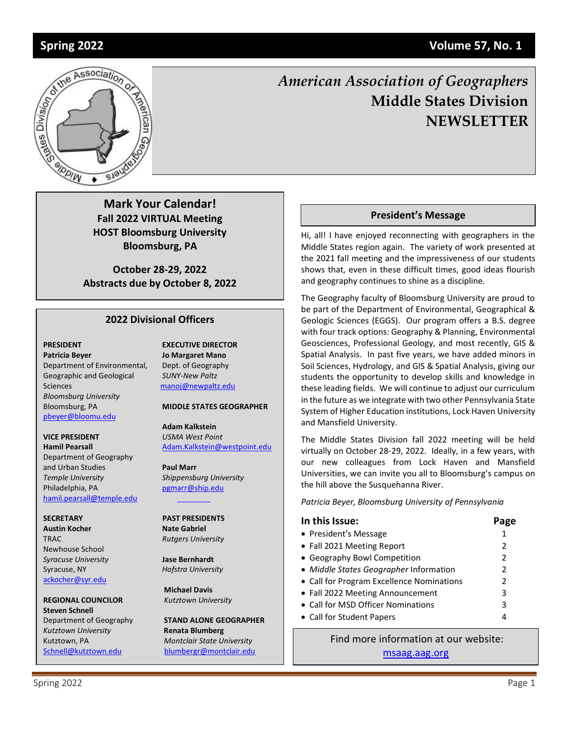Editor: Patricia Beyer



# *American Association of Geographers* **Middle States Division NEWSLETTER**

**Mark Your Calendar! Fall 2022 VIRTUAL Meeting HOST Bloomsburg University Bloomsburg, PA**

**October 28-29, 2022 Abstracts due by October 8, 2022**

### **2022 Divisional Officers**

Department of Environmental, Dept. of Geography Geographic and Geological *SUNY-New Paltz* Sciences [manoj@newpaltz.edu](mailto:manoj@newpaltz.edu) *Bloomsburg University* Bloomsburg, PA **MIDDLE STATES GEOGRAPHER** [pbeyer@bloomu.edu](mailto:pbeyer@bloomu.edu)

**VICE PRESIDENT** *USMA West Point* Department of Geography and Urban Studies **Paul Marr** *Temple University Shippensburg University* Philadelphia, PA [pgmarr@ship.edu](file:///C:/Users/hjg22/Downloads/pgmarr@ship.edu) [hamil.pearsall@temple.edu](mailto:hamil.pearsall@temple.edu)

**Austin Kocher Nate Gabriel** TRAC *Rutgers University* Newhouse School *Syracuse University* **Jase Bernhardt** Syracuse, NY *Hofstra University* [ackocher@syr.edu](mailto:ackocher@syr.edu)

**REGIONAL COUNCILOR** *Kutztown University* **Steven Schnell**  *Kutztown University* **Renata Blumberg**

**PRESIDENT EXECUTIVE DIRECTOR Patricia Beyer Jo Margaret Mano**

**Adam Kalkstein Hamil Pearsall** [Adam.Kalkstein@westpoint.edu](mailto:Adam.Kalkstein@westpoint.edu)

#### **SECRETARY PAST PRESIDENTS**

 **Michael Davis**

Department of Geography **STAND ALONE GEOGRAPHER** Kutztown, PA *Montclair State University* [Schnell@kutztown.edu](mailto:Schnell@kutztown.edu) [blumbergr@montclair.edu](mailto:blumbergr@montclair.edu)

#### **President's Message**

Hi, all! I have enjoyed reconnecting with geographers in the Middle States region again. The variety of work presented at the 2021 fall meeting and the impressiveness of our students shows that, even in these difficult times, good ideas flourish and geography continues to shine as a discipline.

The Geography faculty of Bloomsburg University are proud to be part of the Department of Environmental, Geographical & Geologic Sciences (EGGS). Our program offers a B.S. degree with four track options: Geography & Planning, Environmental Geosciences, Professional Geology, and most recently, GIS & Spatial Analysis. In past five years, we have added minors in Soil Sciences, Hydrology, and GIS & Spatial Analysis, giving our students the opportunity to develop skills and knowledge in these leading fields. We will continue to adjust our curriculum in the future as we integrate with two other Pennsylvania State System of Higher Education institutions, Lock Haven University and Mansfield University.

The Middle States Division fall 2022 meeting will be held virtually on October 28-29, 2022. Ideally, in a few years, with our new colleagues from Lock Haven and Mansfield Universities, we can invite you all to Bloomsburg's campus on the hill above the Susquehanna River.

*Patricia Beyer, Bloomsburg University of Pennsylvania*

| In this Issue:                            | Page |
|-------------------------------------------|------|
| • President's Message                     | 1    |
| • Fall 2021 Meeting Report                | 2    |
| • Geography Bowl Competition              | 2    |
| • Middle States Geographer Information    | 2    |
| • Call for Program Excellence Nominations | 2    |
| • Fall 2022 Meeting Announcement          | 3    |
| • Call for MSD Officer Nominations        | 3    |
| • Call for Student Papers                 | 4    |

Find more information at our website: [msaag.aag.org](http://www.msaag.org/)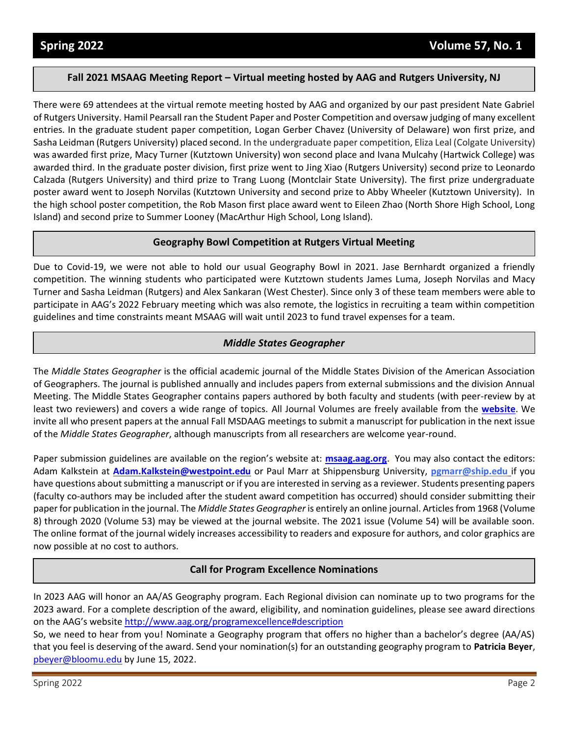### **Fall 2021 MSAAG Meeting Report – Virtual meeting hosted by AAG and Rutgers University, NJ**

There were 69 attendees at the virtual remote meeting hosted by AAG and organized by our past president Nate Gabriel of Rutgers University. Hamil Pearsall ran the Student Paper and Poster Competition and oversaw judging of many excellent entries. In the graduate student paper competition, Logan Gerber Chavez (University of Delaware) won first prize, and Sasha Leidman (Rutgers University) placed second. In the undergraduate paper competition, Eliza Leal (Colgate University) was awarded first prize, Macy Turner (Kutztown University) won second place and Ivana Mulcahy (Hartwick College) was awarded third. In the graduate poster division, first prize went to Jing Xiao (Rutgers University) second prize to Leonardo Calzada (Rutgers University) and third prize to Trang Luong (Montclair State University). The first prize undergraduate poster award went to Joseph Norvilas (Kutztown University and second prize to Abby Wheeler (Kutztown University). In the high school poster competition, the Rob Mason first place award went to Eileen Zhao (North Shore High School, Long Island) and second prize to Summer Looney (MacArthur High School, Long Island).

### **Geography Bowl Competition at Rutgers Virtual Meeting**

Due to Covid-19, we were not able to hold our usual Geography Bowl in 2021. Jase Bernhardt organized a friendly competition. The winning students who participated were Kutztown students James Luma, Joseph Norvilas and Macy Turner and Sasha Leidman (Rutgers) and Alex Sankaran (West Chester). Since only 3 of these team members were able to participate in AAG's 2022 February meeting which was also remote, the logistics in recruiting a team within competition guidelines and time constraints meant MSAAG will wait until 2023 to fund travel expenses for a team.

### *Middle States Geographer*

The *Middle States Geographer* is the official academic journal of the Middle States Division of the American Association of Geographers. The journal is published annually and includes papers from external submissions and the division Annual Meeting. The Middle States Geographer contains papers authored by both faculty and students (with peer-review by at least two reviewers) and covers a wide range of topics. All Journal Volumes are freely available from the **[website](http://msaag.aag.org/middle-states-geographer/)**. We invite all who present papers at the annual Fall MSDAAG meetings to submit a manuscript for publication in the next issue of the *Middle States Geographer*, although manuscripts from all researchers are welcome year-round.

Paper submission guidelines are available on the region's website at: **[msaag.aag.org](mailto:msaag.aag.org)**. You may also contact the editors: Adam Kalkstein at **[Adam.Kalkstein@westpoint.edu](mailto:Adam.Kalkstein@westpoint.edu)** or Paul Marr at Shippensburg University, **[pgmarr@ship.edu](mailto:pgmarr@ship.edu)** if you have questions about submitting a manuscript or if you are interested in serving as a reviewer. Students presenting papers (faculty co-authors may be included after the student award competition has occurred) should consider submitting their paper for publication in the journal. The *Middle States Geographer* is entirely an online journal. Articles from 1968 (Volume 8) through 2020 (Volume 53) may be viewed at the journal website. The 2021 issue (Volume 54) will be available soon. The online format of the journal widely increases accessibility to readers and exposure for authors, and color graphics are now possible at no cost to authors.

#### **Call for Program Excellence Nominations**

In 2023 AAG will honor an AA/AS Geography program. Each Regional division can nominate up to two programs for the 2023 award. For a complete description of the award, eligibility, and nomination guidelines, please see award directions on the AAG's website <http://www.aag.org/programexcellence#description>

So, we need to hear from you! Nominate a Geography program that offers no higher than a bachelor's degree (AA/AS) that you feel is deserving of the award. Send your nomination(s) for an outstanding geography program to **Patricia Beyer**, [pbeyer@bloomu.edu](mailto:pbeyer@bloomu.edu) by June 15, 2022.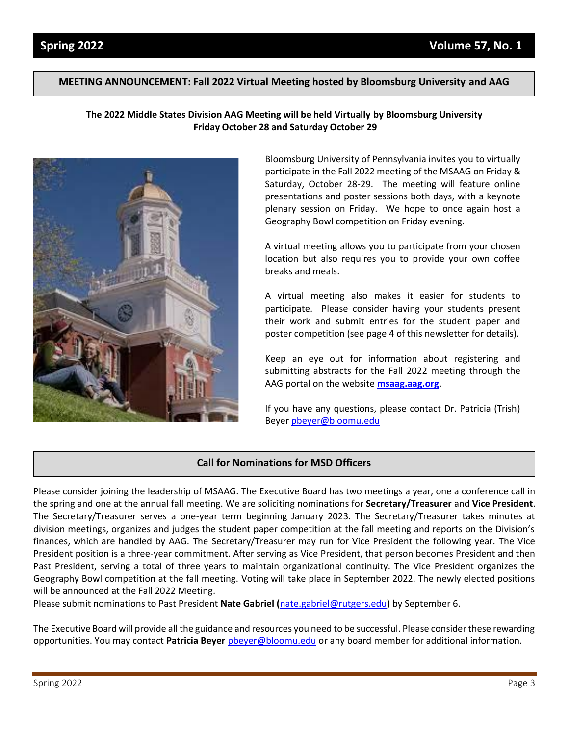#### **MEETING ANNOUNCEMENT: Fall 2022 Virtual Meeting hosted by Bloomsburg University and AAG**

### **The 2022 Middle States Division AAG Meeting will be held Virtually by Bloomsburg University Friday October 28 and Saturday October 29**



Bloomsburg University of Pennsylvania invites you to virtually participate in the Fall 2022 meeting of the MSAAG on Friday & Saturday, October 28-29. The meeting will feature online presentations and poster sessions both days, with a keynote plenary session on Friday. We hope to once again host a Geography Bowl competition on Friday evening.

A virtual meeting allows you to participate from your chosen location but also requires you to provide your own coffee breaks and meals.

A virtual meeting also makes it easier for students to participate. Please consider having your students present their work and submit entries for the student paper and poster competition (see page 4 of this newsletter for details).

Keep an eye out for information about registering and submitting abstracts for the Fall 2022 meeting through the AAG portal on the website **[msaag.aag.org](mailto:msaag.aag.org)**.

If you have any questions, please contact Dr. Patricia (Trish) Beye[r pbeyer@bloomu.edu](mailto:pbeyer@bloomu.edu)

### **Call for Nominations for MSD Officers**

Please consider joining the leadership of MSAAG. The Executive Board has two meetings a year, one a conference call in the spring and one at the annual fall meeting. We are soliciting nominations for **Secretary/Treasurer** and **Vice President**. The Secretary/Treasurer serves a one-year term beginning January 2023. The Secretary/Treasurer takes minutes at division meetings, organizes and judges the student paper competition at the fall meeting and reports on the Division's finances, which are handled by AAG. The Secretary/Treasurer may run for Vice President the following year. The Vice President position is a three-year commitment. After serving as Vice President, that person becomes President and then Past President, serving a total of three years to maintain organizational continuity. The Vice President organizes the Geography Bowl competition at the fall meeting. Voting will take place in September 2022. The newly elected positions will be announced at the Fall 2022 Meeting.

Please submit nominations to Past President **Nate Gabriel (**[nate.gabriel@rutgers.edu](mailto:Nate.gabriel@rutgers,edu)**)** by September 6.

The Executive Board will provide all the guidance and resources you need to be successful. Please consider these rewarding opportunities. You may contact **Patricia Beyer** [pbeyer@bloomu.edu](mailto:pbeyer@bloomu.edu) or any board member for additional information.